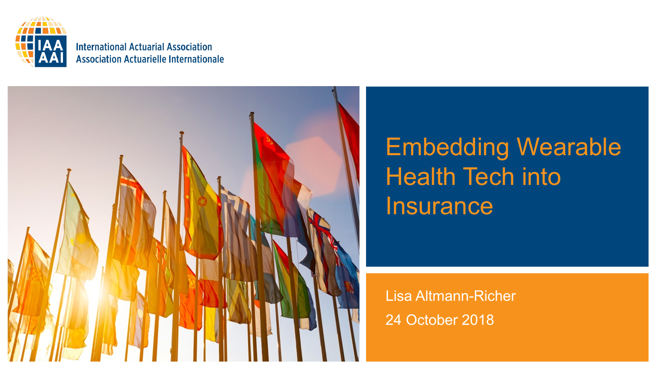

**International Actuarial Association Association Actuarielle Internationale** 



### Embedding Wearable Health Tech into **Insurance**

Lisa Altmann-Richer 24 October 2018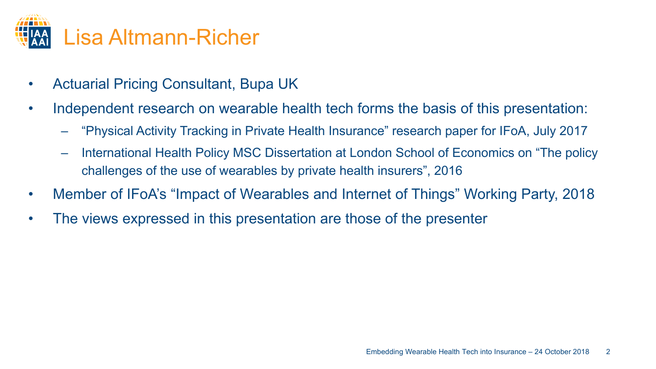

- Actuarial Pricing Consultant, Bupa UK
- Independent research on wearable health tech forms the basis of this presentation:
	- "Physical Activity Tracking in Private Health Insurance" research paper for IFoA, July 2017
	- International Health Policy MSC Dissertation at London School of Economics on "The policy challenges of the use of wearables by private health insurers", 2016
- Member of IFoA's "Impact of Wearables and Internet of Things" Working Party, 2018
- The views expressed in this presentation are those of the presenter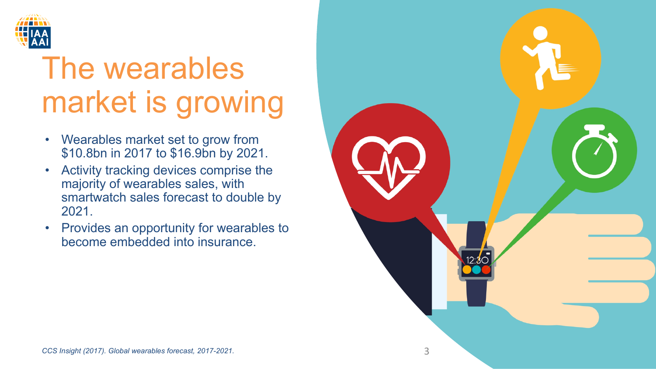

## The wearables market is growing

- Wearables market set to grow from \$10.8bn in 2017 to \$16.9bn by 2021.
- Activity tracking devices comprise the majority of wearables sales, with smartwatch sales forecast to double by 2021.
- Provides an opportunity for wearables to become embedded into insurance.

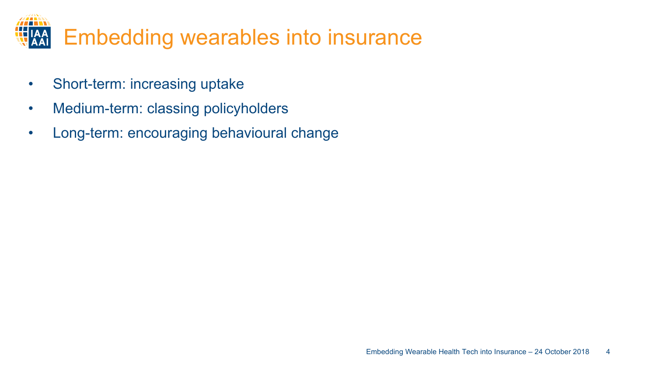

- Short-term: increasing uptake
- Medium-term: classing policyholders
- Long-term: encouraging behavioural change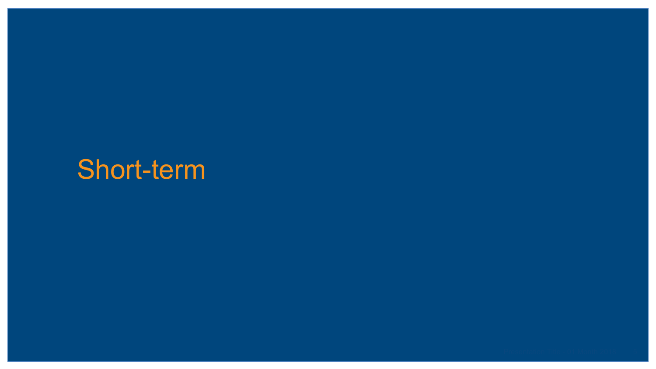### Short-term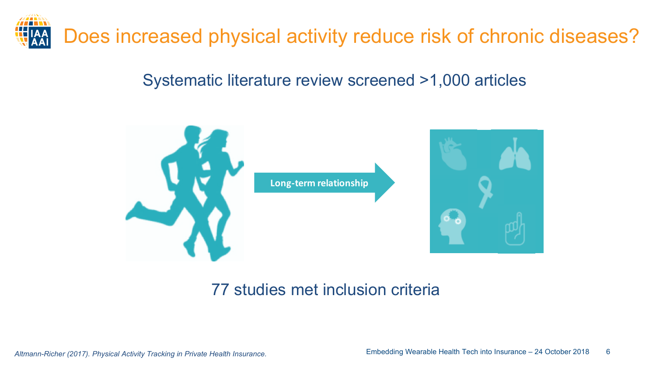

#### Systematic literature review screened >1,000 articles



#### 77 studies met inclusion criteria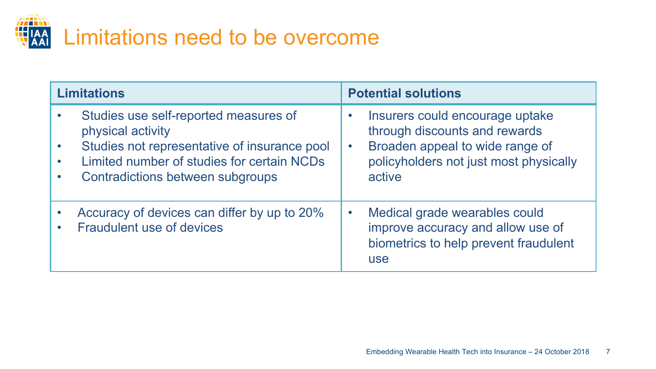

| <b>Limitations</b> |                                                                                                                                                                                                     | <b>Potential solutions</b>                                                                                                                              |  |
|--------------------|-----------------------------------------------------------------------------------------------------------------------------------------------------------------------------------------------------|---------------------------------------------------------------------------------------------------------------------------------------------------------|--|
| $\bullet$          | Studies use self-reported measures of<br>physical activity<br>Studies not representative of insurance pool<br>Limited number of studies for certain NCDs<br><b>Contradictions between subgroups</b> | Insurers could encourage uptake<br>through discounts and rewards<br>Broaden appeal to wide range of<br>policyholders not just most physically<br>active |  |
|                    | Accuracy of devices can differ by up to 20%<br><b>Fraudulent use of devices</b>                                                                                                                     | Medical grade wearables could<br>improve accuracy and allow use of<br>biometrics to help prevent fraudulent<br><b>use</b>                               |  |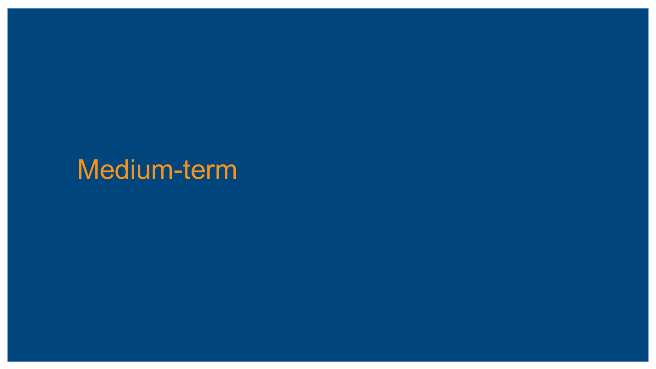### Medium-term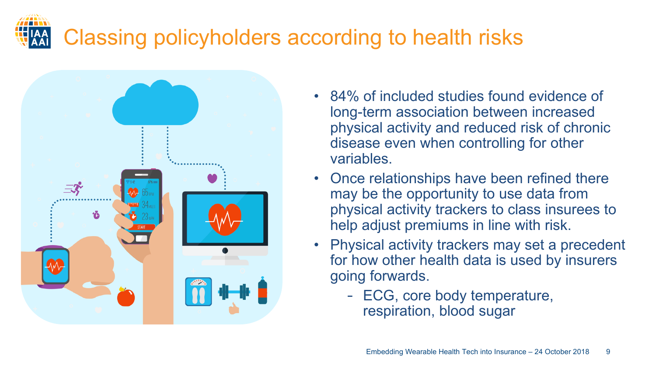## Classing policyholders according to health risks



- 84% of included studies found evidence of long-term association between increased physical activity and reduced risk of chronic disease even when controlling for other variables.
- Once relationships have been refined there may be the opportunity to use data from physical activity trackers to class insurees to help adjust premiums in line with risk.
- Physical activity trackers may set a precedent for how other health data is used by insurers going forwards.
	- ECG, core body temperature, respiration, blood sugar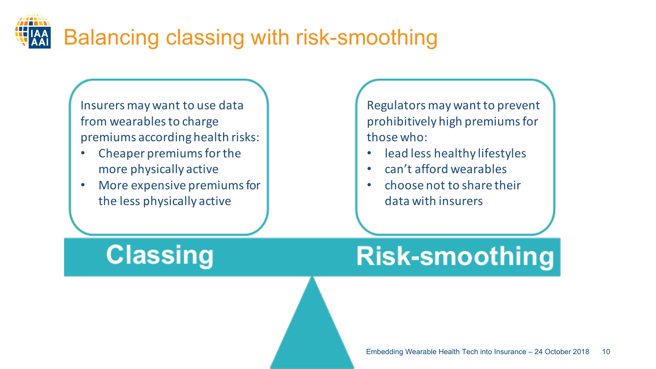

Insurers may want to use data from wearables to charge premiums according health risks:

- Cheaper premiums for the more physically active
- More expensive premiums for the less physically active

Regulators may want to prevent prohibitively high premiums for those who:

- lead less healthy lifestyles
- can't afford wearables
- choose not to share their data with insurers

**Classing** 

### **Risk-smoothing**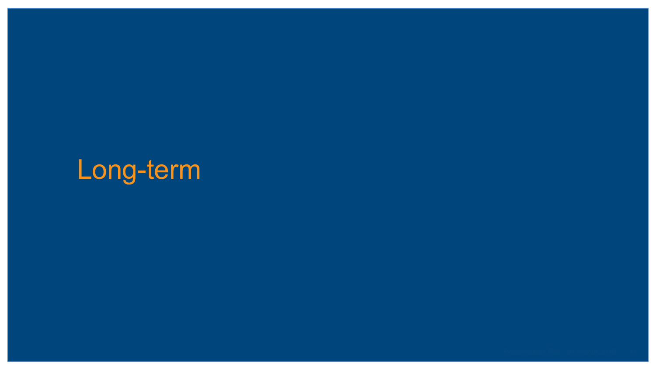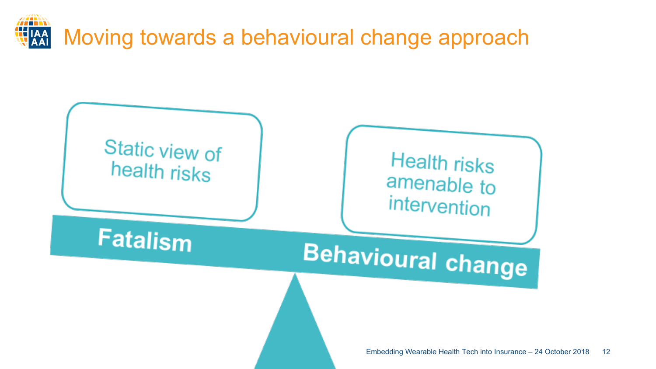

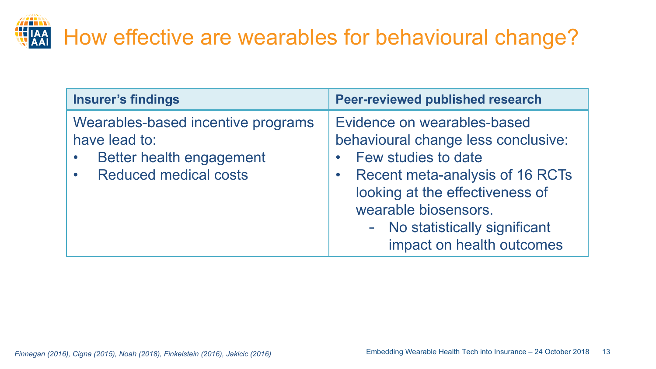# How effective are wearables for behavioural change?

| <b>Insurer's findings</b>                                                                                       | <b>Peer-reviewed published research</b>                                                                                                                                                                                                                              |
|-----------------------------------------------------------------------------------------------------------------|----------------------------------------------------------------------------------------------------------------------------------------------------------------------------------------------------------------------------------------------------------------------|
| Wearables-based incentive programs<br>have lead to:<br>Better health engagement<br><b>Reduced medical costs</b> | Evidence on wearables-based<br>behavioural change less conclusive:<br><b>Few studies to date</b><br><b>Recent meta-analysis of 16 RCTs</b><br>looking at the effectiveness of<br>wearable biosensors.<br>- No statistically significant<br>impact on health outcomes |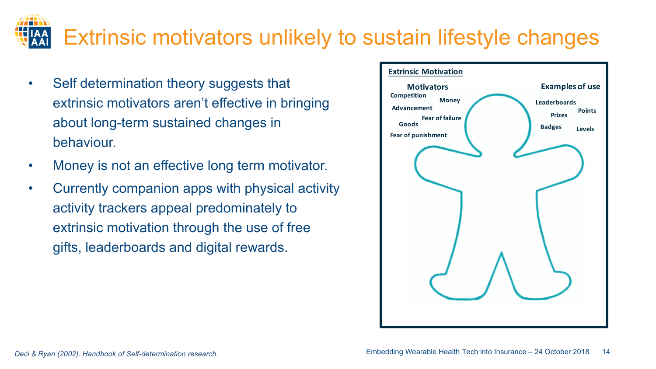#### Extrinsic motivators unlikely to sustain lifestyle changes

- Self determination theory suggests that extrinsic motivators aren't effective in bringing about long-term sustained changes in behaviour.
- Money is not an effective long term motivator.
- Currently companion apps with physical activity activity trackers appeal predominately to extrinsic motivation through the use of free gifts, leaderboards and digital rewards.

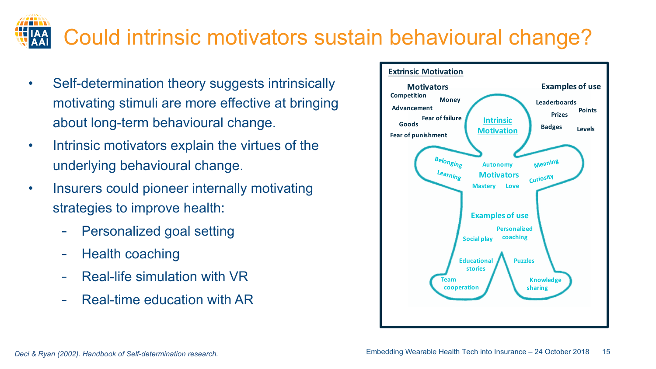#### Embedding Wearable Health Tech into Insurance – 24 October 2018 15

#### - Real-life simulation with VR

- Real-time education with AR



• Insurers could pioneer internally motivating strategies to improve health:

Personalized goal setting

- Intrinsic motivators explain the virtues of the underlying behavioural change.
- motivating stimuli are more effective at bringing about long-term behavioural change.
- **Extrinsic Motivation** • Self-determination theory suggests intrinsically **Motivators Money Competition Advancement Fear of failure Fear of punishment Belonging** Learning



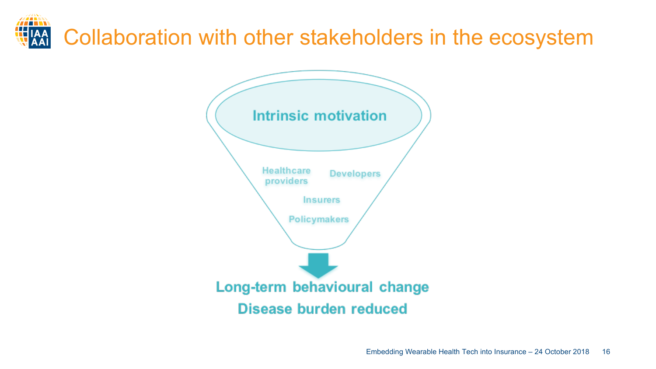# Collaboration with other stakeholders in the ecosystem

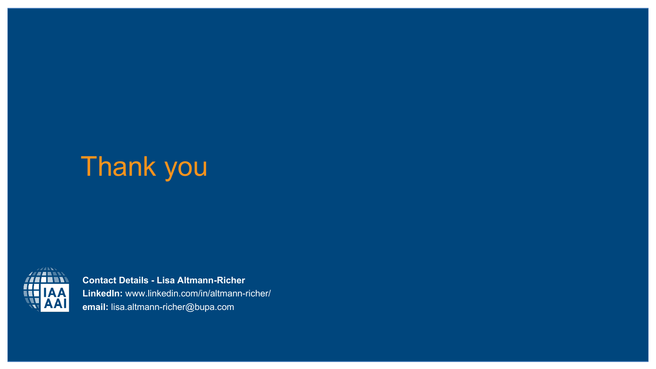## Thank you



**Contact Details - Lisa Altmann-Richer LinkedIn:** www.linkedin.com/in/altmann-richer/ **email:** lisa.altmann-richer@bupa.com